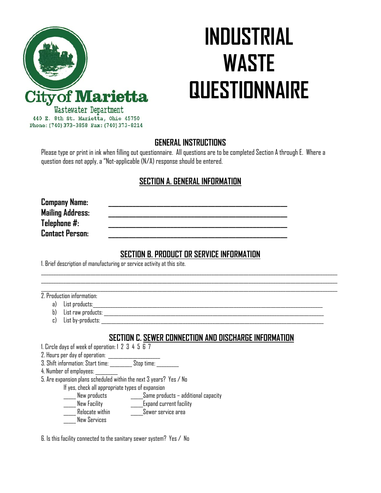

# **INDUSTRIAL WASTE QUESTIONNAIRE**

### **GENERAL INSTRUCTIONS**

Please type or print in ink when filling out questionnaire. All questions are to be completed Section A through E. Where a question does not apply, a "Not-applicable (N/A) response should be entered.

# **SECTION A. GENERAL INFORMATION**

**Company Name: Mailing Address:** Telephone #: **Contact Person:** 

## **SECTION B. PRODUCT OR SERVICE INFORMATION**

 $\mathcal{L}_\mathcal{L} = \mathcal{L}_\mathcal{L} = \mathcal{L}_\mathcal{L} = \mathcal{L}_\mathcal{L} = \mathcal{L}_\mathcal{L} = \mathcal{L}_\mathcal{L} = \mathcal{L}_\mathcal{L} = \mathcal{L}_\mathcal{L} = \mathcal{L}_\mathcal{L} = \mathcal{L}_\mathcal{L} = \mathcal{L}_\mathcal{L} = \mathcal{L}_\mathcal{L} = \mathcal{L}_\mathcal{L} = \mathcal{L}_\mathcal{L} = \mathcal{L}_\mathcal{L} = \mathcal{L}_\mathcal{L} = \mathcal{L}_\mathcal{L}$ 

1. Brief description of manufacturing or service activity at this site.

2. Production information:

- a) List products:
- b) List raw products:
- c) List by-products:

## **SECTION C. SEWER CONNECTION AND DISCHARGE INFORMATION**

1. Circle days of week of operation: 1 2 3 4 5 6 7

2. Hours per day of operation: \_\_\_\_\_\_\_\_\_

3. Shift information: Start time: \_\_\_\_\_\_\_\_\_ Stop time: \_\_\_\_\_\_\_\_\_

4. Number of employees: \_\_\_\_\_\_\_\_\_

5. Are expansion plans scheduled within the next 3 years? Yes / No

If yes, check all appropriate types of expansion

\_\_\_\_\_ New products \_\_\_\_\_Same products – additional capacity

- New Facility **Expand current facility**
- Relocate within The Sewer service area
- New Services

6. Is this facility connected to the sanitary sewer system? Yes / No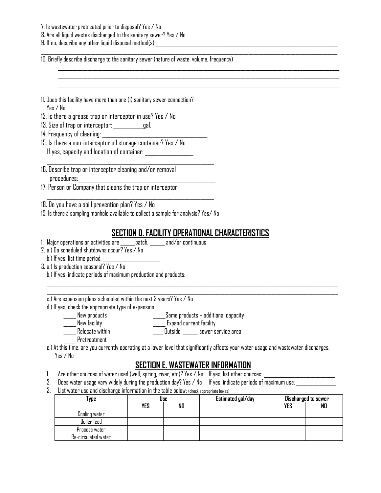7. Is wastewater pretreated prior to disposal? Yes / No

8. Are all liquid wastes discharged to the sanitary sewer? Yes / No

 $9.$  If no, describe any other liquid disposal method(s):

10. Briefly describe discharge to the sanitary sewer:(nature of waste, volume, frequency)

- 11. Does this facility have more than one (1) sanitary sewer connection? Yes / No
- 12. Is there a grease trap or interceptor in use? Yes / No
- 13. Size of trap or interceptor: \_\_\_\_\_\_\_\_\_\_\_gal.
- 14. Frequency of cleaning: \_\_\_\_\_\_\_\_\_\_\_\_\_\_\_\_\_\_\_\_\_\_\_\_\_\_\_\_\_\_\_\_\_\_\_\_\_\_\_
- 15. Is there a non-interceptor oil storage container? Yes / No If yes, capacity and location of container:
- 16. Describe trap or interceptor cleaning and/or removal procedures:
- 17. Person or Company that cleans the trap or interceptor:
- 18. Do you have a spill prevention plan? Yes / No
- 19. Is there a sampling manhole available to collect a sample for analysis? Yes/ No

 $\mathcal{L}_\text{max}$  and  $\mathcal{L}_\text{max}$  and  $\mathcal{L}_\text{max}$  and  $\mathcal{L}_\text{max}$  and  $\mathcal{L}_\text{max}$ 

 $\mathcal{L}_\text{max}$  and  $\mathcal{L}_\text{max}$  and  $\mathcal{L}_\text{max}$  and  $\mathcal{L}_\text{max}$  and  $\mathcal{L}_\text{max}$ 

## **SECTION D. FACILITY OPERATIONAL CHARACTERISTICS**

 $\mathcal{L}_\mathcal{L} = \mathcal{L}_\mathcal{L} = \mathcal{L}_\mathcal{L} = \mathcal{L}_\mathcal{L} = \mathcal{L}_\mathcal{L} = \mathcal{L}_\mathcal{L} = \mathcal{L}_\mathcal{L} = \mathcal{L}_\mathcal{L} = \mathcal{L}_\mathcal{L} = \mathcal{L}_\mathcal{L} = \mathcal{L}_\mathcal{L} = \mathcal{L}_\mathcal{L} = \mathcal{L}_\mathcal{L} = \mathcal{L}_\mathcal{L} = \mathcal{L}_\mathcal{L} = \mathcal{L}_\mathcal{L} = \mathcal{L}_\mathcal{L}$ 

 $\overline{\phantom{a}}$  , and the contribution of the contribution of the contribution of the contribution of the contribution of the contribution of the contribution of the contribution of the contribution of the contribution of the

- 1. Major operations or activities are detch, and/or continuous
- 2. a.) Do scheduled shutdowns occur? Yes / No

b.) If yes, list time period.  $\overline{\phantom{a}}$ 

- 3. a.) Is production seasonal? Yes / No
	- b.) If yes, indicate periods of maximum production and products:
	- c.) Are expansion plans scheduled within the next 3 years? Yes / No
	- d.) If yes, check the appropriate type of expansion
		- \_\_\_\_\_ New products \_\_\_\_\_Same products additional capacity
			-
		-
		- \_\_\_\_\_ New facility \_\_\_\_\_ Expand current facility \_\_\_\_\_ Relocate within \_\_\_\_ Outside \_\_\_\_\_\_ sewer service area

 $\Box$ 

- \_\_\_\_\_ Pretreatment
- e.) At this time, are you currently operating at a lower level that significantly affects your water usage and wastewater discharges: Yes / No

### **SECTION E. WASTEWATER INFORMATION**

- 1. Are other sources of water used (well, spring, river, etc)? Yes / No  $\;$  If yes, list other sources:
- 2. Does water usage vary widely during the production day? Yes / No If yes, indicate periods of maximum use: \_\_\_\_\_\_\_\_\_\_\_\_\_\_\_\_
- 3. List water use and discharge information in the table below: (check appropriate boxes)

| Type                | Use |    | Estimated gal/day | Discharged to sewer |    |
|---------------------|-----|----|-------------------|---------------------|----|
|                     | YES | NO |                   | <b>YES</b>          | NO |
| Cooling water       |     |    |                   |                     |    |
| <b>Boiler</b> feed  |     |    |                   |                     |    |
| Process water       |     |    |                   |                     |    |
| Re-circulated water |     |    |                   |                     |    |